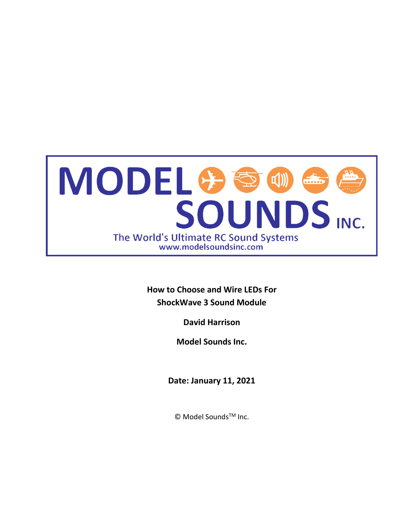

**How to Choose and Wire LEDs For ShockWave 3 Sound Module**

**David Harrison**

**Model Sounds Inc.**

**Date: January 11, 2021**

© Model SoundsTM Inc.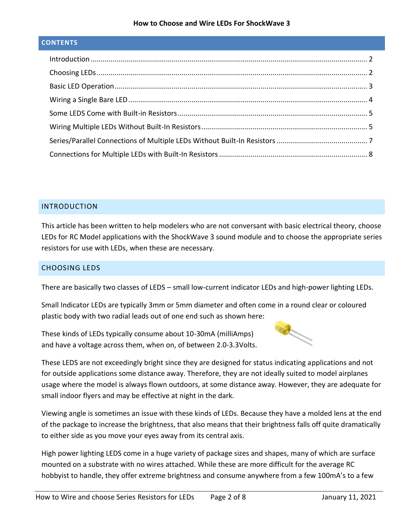#### **How to Choose and Wire LEDs For ShockWave 3**

### **CONTENTS**

| $\label{eq:interoduction} \begin{minipage}{0.9\linewidth} \begin{minipage}{0.9\linewidth} \begin{minipage}{0.9\linewidth} \begin{minipage}{0.9\linewidth} \begin{minipage}{0.9\linewidth} \end{minipage} \end{minipage} \begin{minipage}{0.9\linewidth} \begin{minipage}{0.9\linewidth} \begin{minipage}{0.9\linewidth} \end{minipage} \end{minipage} \end{minipage} \begin{minipage}{0.9\linewidth} \begin{minipage}{0.9\linewidth} \begin{minipage}{0.9\linewidth} \begin{minipage}{0.9\linewidth} \end{minipage} \end{minipage} \end{minipage$ |  |
|---------------------------------------------------------------------------------------------------------------------------------------------------------------------------------------------------------------------------------------------------------------------------------------------------------------------------------------------------------------------------------------------------------------------------------------------------------------------------------------------------------------------------------------------------|--|
|                                                                                                                                                                                                                                                                                                                                                                                                                                                                                                                                                   |  |
|                                                                                                                                                                                                                                                                                                                                                                                                                                                                                                                                                   |  |
|                                                                                                                                                                                                                                                                                                                                                                                                                                                                                                                                                   |  |
|                                                                                                                                                                                                                                                                                                                                                                                                                                                                                                                                                   |  |
|                                                                                                                                                                                                                                                                                                                                                                                                                                                                                                                                                   |  |
|                                                                                                                                                                                                                                                                                                                                                                                                                                                                                                                                                   |  |
|                                                                                                                                                                                                                                                                                                                                                                                                                                                                                                                                                   |  |

### <span id="page-1-0"></span>INTRODUCTION

This article has been written to help modelers who are not conversant with basic electrical theory, choose LEDs for RC Model applications with the ShockWave 3 sound module and to choose the appropriate series resistors for use with LEDs, when these are necessary.

### <span id="page-1-1"></span>CHOOSING LEDS

There are basically two classes of LEDS – small low-current indicator LEDs and high-power lighting LEDs.

Small Indicator LEDs are typically 3mm or 5mm diameter and often come in a round clear or coloured plastic body with two radial leads out of one end such as shown here:

These kinds of LEDs typically consume about 10-30mA (milliAmps) and have a voltage across them, when on, of between 2.0-3.3Volts.



These LEDS are not exceedingly bright since they are designed for status indicating applications and not for outside applications some distance away. Therefore, they are not ideally suited to model airplanes usage where the model is always flown outdoors, at some distance away. However, they are adequate for small indoor flyers and may be effective at night in the dark.

Viewing angle is sometimes an issue with these kinds of LEDs. Because they have a molded lens at the end of the package to increase the brightness, that also means that their brightness falls off quite dramatically to either side as you move your eyes away from its central axis.

High power lighting LEDS come in a huge variety of package sizes and shapes, many of which are surface mounted on a substrate with no wires attached. While these are more difficult for the average RC hobbyist to handle, they offer extreme brightness and consume anywhere from a few 100mA's to a few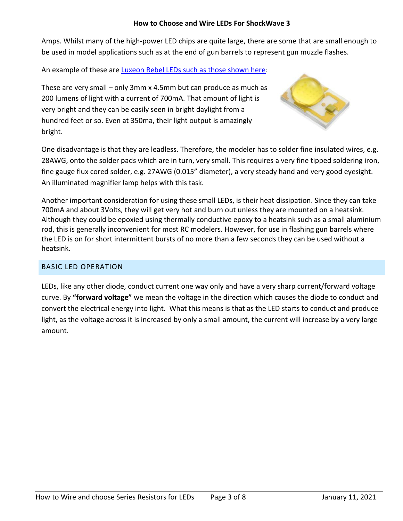### **How to Choose and Wire LEDs For ShockWave 3**

Amps. Whilst many of the high-power LED chips are quite large, there are some that are small enough to be used in model applications such as at the end of gun barrels to represent gun muzzle flashes.

An example of these are [Luxeon Rebel LEDs such as those shown here:](https://www.luxeonstar.com/luxeon-rebel-leds)

These are very small – only 3mm x 4.5mm but can produce as much as 200 lumens of light with a current of 700mA. That amount of light is very bright and they can be easily seen in bright daylight from a hundred feet or so. Even at 350ma, their light output is amazingly bright.



One disadvantage is that they are leadless. Therefore, the modeler has to solder fine insulated wires, e.g. 28AWG, onto the solder pads which are in turn, very small. This requires a very fine tipped soldering iron, fine gauge flux cored solder, e.g. 27AWG (0.015" diameter), a very steady hand and very good eyesight. An illuminated magnifier lamp helps with this task.

Another important consideration for using these small LEDs, is their heat dissipation. Since they can take 700mA and about 3Volts, they will get very hot and burn out unless they are mounted on a heatsink. Although they could be epoxied using thermally conductive epoxy to a heatsink such as a small aluminium rod, this is generally inconvenient for most RC modelers. However, for use in flashing gun barrels where the LED is on for short intermittent bursts of no more than a few seconds they can be used without a heatsink.

## <span id="page-2-0"></span>BASIC LED OPERATION

LEDs, like any other diode, conduct current one way only and have a very sharp current/forward voltage curve. By **"forward voltage"** we mean the voltage in the direction which causes the diode to conduct and convert the electrical energy into light. What this means is that as the LED starts to conduct and produce light, as the voltage across it is increased by only a small amount, the current will increase by a very large amount.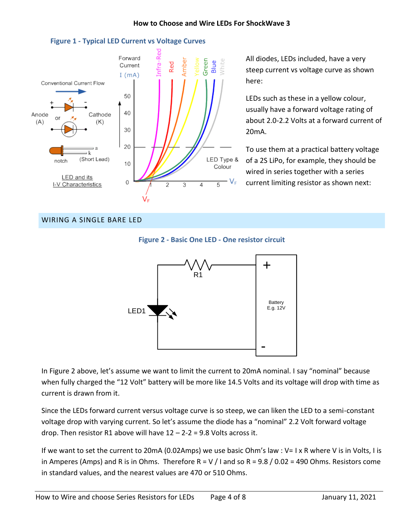

**Figure 1 - Typical LED Current vs Voltage Curves**

All diodes, LEDs included, have a very steep current vs voltage curve as shown here:

LEDs such as these in a yellow colour, usually have a forward voltage rating of about 2.0-2.2 Volts at a forward current of 20mA.

To use them at a practical battery voltage of a 2S LiPo, for example, they should be wired in series together with a series current limiting resistor as shown next:

## <span id="page-3-0"></span>WIRING A SINGLE BARE LED





In Figure 2 above, let's assume we want to limit the current to 20mA nominal. I say "nominal" because when fully charged the "12 Volt" battery will be more like 14.5 Volts and its voltage will drop with time as current is drawn from it.

Since the LEDs forward current versus voltage curve is so steep, we can liken the LED to a semi-constant voltage drop with varying current. So let's assume the diode has a "nominal" 2.2 Volt forward voltage drop. Then resistor R1 above will have  $12 - 2 - 2 = 9.8$  Volts across it.

If we want to set the current to 20mA (0.02Amps) we use basic Ohm's law : V= I x R where V is in Volts, I is in Amperes (Amps) and R is in Ohms. Therefore R = V / I and so R = 9.8 / 0.02 = 490 Ohms. Resistors come in standard values, and the nearest values are 470 or 510 Ohms.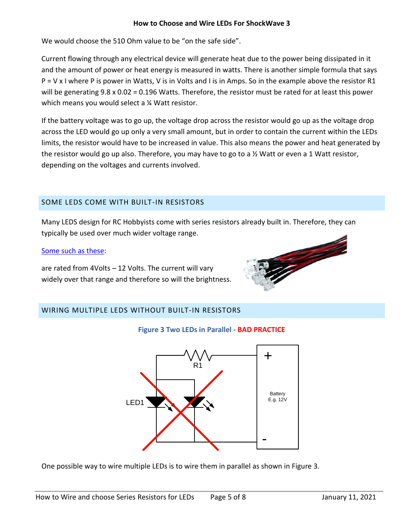### **How to Choose and Wire LEDs For ShockWave 3**

We would choose the 510 Ohm value to be "on the safe side".

Current flowing through any electrical device will generate heat due to the power being dissipated in it and the amount of power or heat energy is measured in watts. There is another simple formula that says  $P = V \times I$  where P is power in Watts, V is in Volts and I is in Amps. So in the example above the resistor R1 will be generating 9.8 x 0.02 = 0.196 Watts. Therefore, the resistor must be rated for at least this power which means you would select a <sup>1/2</sup> Watt resistor.

If the battery voltage was to go up, the voltage drop across the resistor would go up as the voltage drop across the LED would go up only a very small amount, but in order to contain the current within the LEDs limits, the resistor would have to be increased in value. This also means the power and heat generated by the resistor would go up also. Therefore, you may have to go to a  $\frac{1}{2}$  Watt or even a 1 Watt resistor, depending on the voltages and currents involved.

# <span id="page-4-0"></span>SOME LEDS COME WITH BUILT-IN RESISTORS

Many LEDS design for RC Hobbyists come with series resistors already built in. Therefore, they can typically be used over much wider voltage range.

### [Some such as these:](https://commonsenserc.com/product_info.php?cPath=147_203&products_id=4723)

are rated from 4Volts – 12 Volts. The current will vary widely over that range and therefore so will the brightness.



# <span id="page-4-1"></span>WIRING MULTIPLE LEDS WITHOUT BUILT-IN RESISTORS



## **Figure 3 Two LEDs in Parallel - BAD PRACTICE**

One possible way to wire multiple LEDs is to wire them in parallel as shown in Figure 3.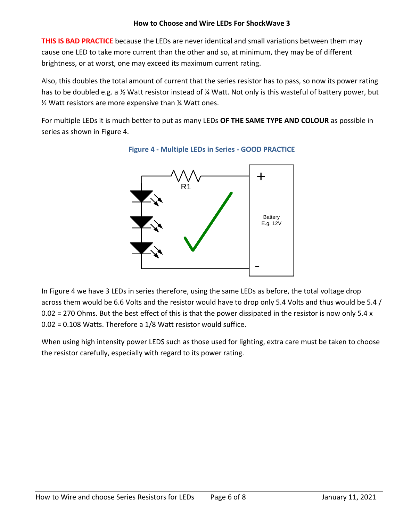**THIS IS BAD PRACTICE** because the LEDs are never identical and small variations between them may cause one LED to take more current than the other and so, at minimum, they may be of different brightness, or at worst, one may exceed its maximum current rating.

Also, this doubles the total amount of current that the series resistor has to pass, so now its power rating has to be doubled e.g. a ½ Watt resistor instead of ¼ Watt. Not only is this wasteful of battery power, but ½ Watt resistors are more expensive than ¼ Watt ones.

For multiple LEDs it is much better to put as many LEDs **OF THE SAME TYPE AND COLOUR** as possible in series as shown in Figure 4.



**Figure 4 - Multiple LEDs in Series - GOOD PRACTICE**

In Figure 4 we have 3 LEDs in series therefore, using the same LEDs as before, the total voltage drop across them would be 6.6 Volts and the resistor would have to drop only 5.4 Volts and thus would be 5.4 /  $0.02$  = 270 Ohms. But the best effect of this is that the power dissipated in the resistor is now only 5.4 x 0.02 = 0.108 Watts. Therefore a 1/8 Watt resistor would suffice.

When using high intensity power LEDS such as those used for lighting, extra care must be taken to choose the resistor carefully, especially with regard to its power rating.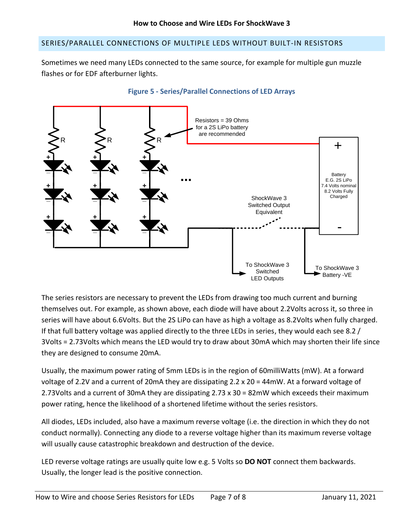### <span id="page-6-0"></span>SERIES/PARALLEL CONNECTIONS OF MULTIPLE LEDS WITHOUT BUILT-IN RESISTORS

Sometimes we need many LEDs connected to the same source, for example for multiple gun muzzle flashes or for EDF afterburner lights.



### **Figure 5 - Series/Parallel Connections of LED Arrays**

The series resistors are necessary to prevent the LEDs from drawing too much current and burning themselves out. For example, as shown above, each diode will have about 2.2Volts across it, so three in series will have about 6.6Volts. But the 2S LiPo can have as high a voltage as 8.2Volts when fully charged. If that full battery voltage was applied directly to the three LEDs in series, they would each see 8.2 / 3Volts = 2.73Volts which means the LED would try to draw about 30mA which may shorten their life since they are designed to consume 20mA.

Usually, the maximum power rating of 5mm LEDs is in the region of 60milliWatts (mW). At a forward voltage of 2.2V and a current of 20mA they are dissipating 2.2 x 20 = 44mW. At a forward voltage of 2.73Volts and a current of 30mA they are dissipating 2.73 x 30 = 82mW which exceeds their maximum power rating, hence the likelihood of a shortened lifetime without the series resistors.

All diodes, LEDs included, also have a maximum reverse voltage (i.e. the direction in which they do not conduct normally). Connecting any diode to a reverse voltage higher than its maximum reverse voltage will usually cause catastrophic breakdown and destruction of the device.

LED reverse voltage ratings are usually quite low e.g. 5 Volts so **DO NOT** connect them backwards. Usually, the longer lead is the positive connection.